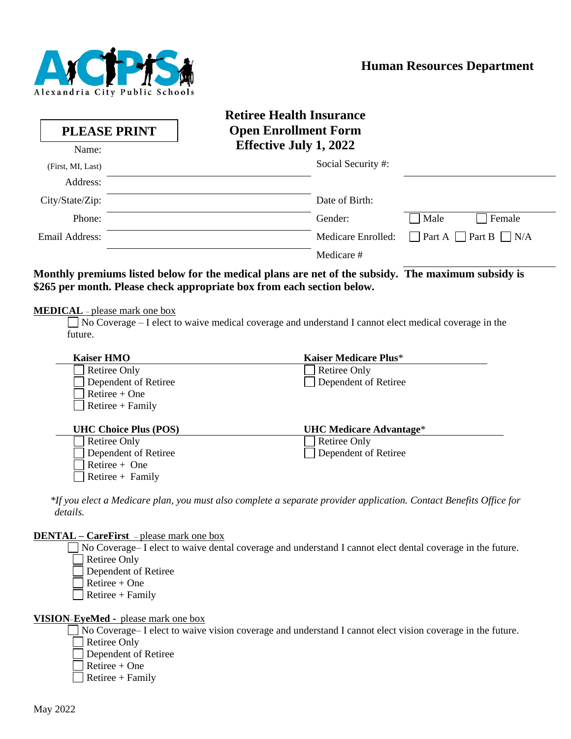

|                                                 | <b>Retiree Health Insurance</b>                                                                        |
|-------------------------------------------------|--------------------------------------------------------------------------------------------------------|
| <b>PLEASE PRINT</b>                             | <b>Open Enrollment Form</b>                                                                            |
| Name:                                           | <b>Effective July 1, 2022</b>                                                                          |
| (First, MI, Last)                               | Social Security #:                                                                                     |
| Address:                                        |                                                                                                        |
| City/State/Zip:                                 | Date of Birth:                                                                                         |
| Phone:                                          | Gender:<br>Male<br>Female                                                                              |
| Email Address:                                  | Medicare Enrolled:<br>Part A Part B $\Box$ N/A                                                         |
|                                                 | Medicare #                                                                                             |
| <b>MEDICAL</b> – please mark one box<br>future. | No Coverage $-1$ elect to waive medical coverage and understand I cannot elect medical coverage in the |
| <b>Kaiser HMO</b>                               | <b>Kaiser Medicare Plus*</b>                                                                           |
| <b>Retiree Only</b>                             | <b>Retiree Only</b>                                                                                    |
| Dependent of Retiree                            | Dependent of Retiree                                                                                   |
| $Retiree + One$                                 |                                                                                                        |
| $Retiree + Family$                              |                                                                                                        |
| <b>UHC Choice Plus (POS)</b>                    | <b>UHC Medicare Advantage*</b>                                                                         |
| Retiree Only                                    | <b>Retiree Only</b>                                                                                    |
| Dependent of Retiree                            | Dependent of Retiree                                                                                   |
| Retiree + One                                   |                                                                                                        |
| Retiree + Family                                |                                                                                                        |

*\*If you elect a Medicare plan, you must also complete a separate provider application. Contact Benefits Office for details.*

#### **DENTAL – CareFirst** *–* please mark one box

No Coverage– I elect to waive dental coverage and understand I cannot elect dental coverage in the future. Retiree Only Dependent of Retiree Retiree + One  $\Box$  Retiree + Family

#### **VISION***–***EyeMed -** please mark one box

■ No Coverage– I elect to waive vision coverage and understand I cannot elect vision coverage in the future. Retiree Only

- Dependent of Retiree
- Retiree + One
- $\Box$  Retiree + Family